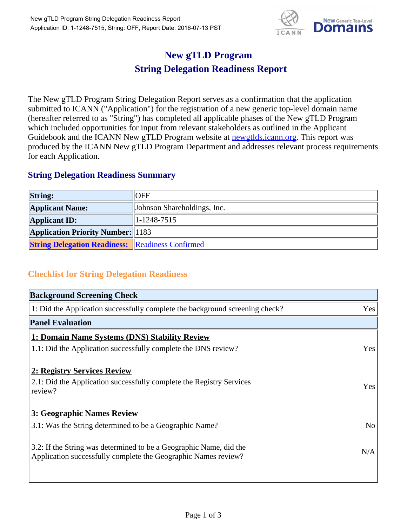

## **New gTLD Program String Delegation Readiness Report**

The New gTLD Program String Delegation Report serves as a confirmation that the application submitted to ICANN ("Application") for the registration of a new generic top-level domain name (hereafter referred to as "String") has completed all applicable phases of the New gTLD Program which included opportunities for input from relevant stakeholders as outlined in the Applicant Guidebook and the ICANN New gTLD Program website at newgtlds.icann.org. This report was produced by the ICANN New gTLD Program Department and addresses relevant process requirements for each Application.

## **String Delegation Readiness Summary**

| <b>String:</b>                                          | <b>OFF</b>                  |
|---------------------------------------------------------|-----------------------------|
| <b>Applicant Name:</b>                                  | Johnson Shareholdings, Inc. |
| <b>Applicant ID:</b>                                    | $ 1-1248-7515 $             |
| <b>Application Priority Number:</b> 1183                |                             |
| <b>String Delegation Readiness:</b> Readiness Confirmed |                             |

## **Checklist for String Delegation Readiness**

| <b>Background Screening Check</b>                                                                                                    |                |
|--------------------------------------------------------------------------------------------------------------------------------------|----------------|
| 1: Did the Application successfully complete the background screening check?                                                         | Yes            |
| <b>Panel Evaluation</b>                                                                                                              |                |
| 1: Domain Name Systems (DNS) Stability Review                                                                                        |                |
| 1.1: Did the Application successfully complete the DNS review?                                                                       | Yes            |
| 2: Registry Services Review                                                                                                          |                |
| 2.1: Did the Application successfully complete the Registry Services<br>review?                                                      | Yes            |
| 3: Geographic Names Review                                                                                                           |                |
| 3.1: Was the String determined to be a Geographic Name?                                                                              | N <sub>o</sub> |
| 3.2: If the String was determined to be a Geographic Name, did the<br>Application successfully complete the Geographic Names review? | N/A            |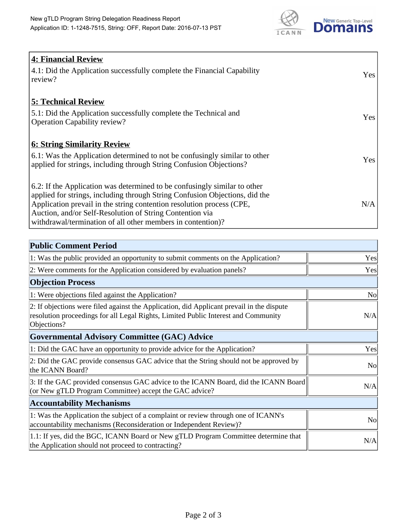

| <b>4: Financial Review</b>                                                  |     |
|-----------------------------------------------------------------------------|-----|
| 4.1: Did the Application successfully complete the Financial Capability     | Yes |
| review?                                                                     |     |
|                                                                             |     |
| <b>5: Technical Review</b>                                                  |     |
| 5.1: Did the Application successfully complete the Technical and            |     |
| <b>Operation Capability review?</b>                                         | Yes |
|                                                                             |     |
| <b>6: String Similarity Review</b>                                          |     |
| 6.1: Was the Application determined to not be confusingly similar to other  | Yes |
| applied for strings, including through String Confusion Objections?         |     |
|                                                                             |     |
| 6.2: If the Application was determined to be confusingly similar to other   |     |
| applied for strings, including through String Confusion Objections, did the |     |
| Application prevail in the string contention resolution process (CPE,       | N/A |
| Auction, and/or Self-Resolution of String Contention via                    |     |
| withdrawal/termination of all other members in contention)?                 |     |

| <b>Public Comment Period</b>                                                                                                                                                                   |                |
|------------------------------------------------------------------------------------------------------------------------------------------------------------------------------------------------|----------------|
| 1: Was the public provided an opportunity to submit comments on the Application?                                                                                                               | Yes            |
| 2: Were comments for the Application considered by evaluation panels?                                                                                                                          | Yes            |
| <b>Objection Process</b>                                                                                                                                                                       |                |
| 1: Were objections filed against the Application?                                                                                                                                              | <b>No</b>      |
| 2: If objections were filed against the Application, did Applicant prevail in the dispute<br>resolution proceedings for all Legal Rights, Limited Public Interest and Community<br>Objections? | N/A            |
| <b>Governmental Advisory Committee (GAC) Advice</b>                                                                                                                                            |                |
| 1: Did the GAC have an opportunity to provide advice for the Application?                                                                                                                      | Yes            |
| 2: Did the GAC provide consensus GAC advice that the String should not be approved by<br>the ICANN Board?                                                                                      | N <sub>o</sub> |
| 3: If the GAC provided consensus GAC advice to the ICANN Board, did the ICANN Board<br>(or New gTLD Program Committee) accept the GAC advice?                                                  | N/A            |
| <b>Accountability Mechanisms</b>                                                                                                                                                               |                |
| 1: Was the Application the subject of a complaint or review through one of ICANN's<br>accountability mechanisms (Reconsideration or Independent Review)?                                       | N <sub>o</sub> |
| 1.1: If yes, did the BGC, ICANN Board or New gTLD Program Committee determine that<br>the Application should not proceed to contracting?                                                       | N/A            |